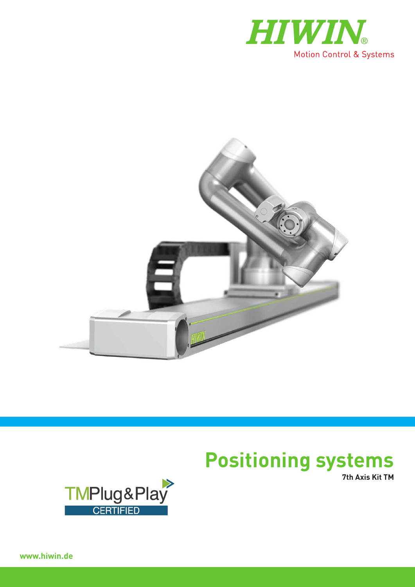



# **Positioning systems**

**7th Axis Kit TM**



**www.hiwin.de**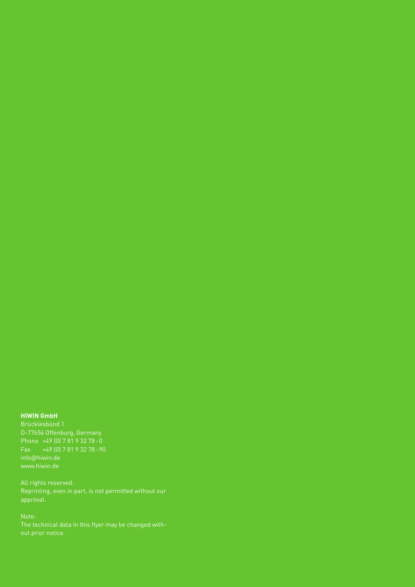#### **HIWIN GmbH**

D-77654 Offenburg, Germany Phone +49 (0) 7 81 9 32 78-0 Fax +49 (0) 7 81 9 32 78-90 info@hiwin.de

approval.

Note: The technical data in this flyer may be changed with-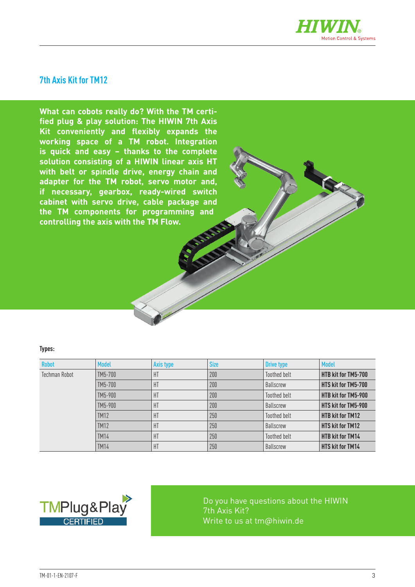

#### **7th Axis Kit for TM12**

**What can cobots really do? With the TM certified plug & play solution: The HIWIN 7th Axis Kit conveniently and flexibly expands the working space of a TM robot. Integration is quick and easy – thanks to the complete solution consisting of a HIWIN linear axis HT with belt or spindle drive, energy chain and adapter for the TM robot, servo motor and, if necessary, gearbox, ready-wired switch cabinet with servo drive, cable package and the TM components for programming and controlling the axis with the TM Flow.**

#### **Types:**

| <b>Robot</b>  | <b>Model</b> | Axis type | <b>Size</b> | <b>Drive type</b>   | <b>Model</b>            |
|---------------|--------------|-----------|-------------|---------------------|-------------------------|
| Techman Robot | TM5-700      | HT        | 200         | Toothed belt        | HTB kit for TM5-700     |
|               | TM5-700      | HT        | 200         | <b>Ballscrew</b>    | HTS kit for TM5-700     |
|               | TM5-900      | HT        | 200         | Toothed belt        | HTB kit for TM5-900     |
|               | TM5-900      | HT        | 200         | <b>Ballscrew</b>    | HTS kit for TM5-900     |
|               | <b>TM12</b>  | HT        | 250         | <b>Toothed belt</b> | <b>HTB kit for TM12</b> |
|               | <b>TM12</b>  | HT        | 250         | <b>Ballscrew</b>    | <b>HTS kit for TM12</b> |
|               | <b>TM14</b>  | HT        | 250         | <b>Toothed belt</b> | <b>HTB kit for TM14</b> |
|               | <b>TM14</b>  | HT        | 250         | <b>Ballscrew</b>    | <b>HTS kit for TM14</b> |



Do you have questions about the HIWIN 7th Axis Kit? Write to us at tm@hiwin.de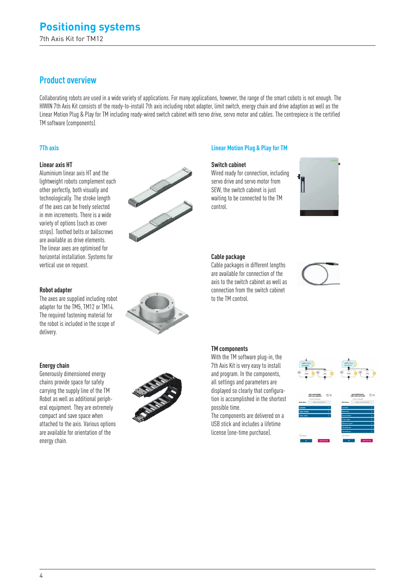7th Axis Kit for TM12

### **Product overview**

Collaborating robots are used in a wide variety of applications. For many applications, however, the range of the smart cobots is not enough. The HIWIN 7th Axis Kit consists of the ready-to-install 7th axis including robot adapter, limit switch, energy chain and drive adaption as well as the Linear Motion Plug & Play for TM including ready-wired switch cabinet with servo drive, servo motor and cables. The centrepiece is the certified TM software (components).

#### **Linear axis HT**

Aluminium linear axis HT and the lightweight robots complement each other perfectly, both visually and technologically. The stroke length of the axes can be freely selected in mm increments. There is a wide variety of options (such as cover strips). Toothed belts or ballscrews are available as drive elements. The linear axes are optimised for horizontal installation. Systems for vertical use on request.



#### **7Th axis Linear Motion Plug & Play for TM**

#### **Switch cabinet**

Wired ready for connection, including servo drive and servo motor from SEW, the switch cabinet is just waiting to be connected to the TM control.



#### **Cable package**

Cable packages in different lengths are available for connection of the axis to the switch cabinet as well as connection from the switch cabinet to the TM control.



#### **Robot adapter**

The axes are supplied including robot adapter for the TM5, TM12 or TM14. The required fastening material for the robot is included in the scope of delivery.

#### **Energy chain**

Generously dimensioned energy chains provide space for safely carrying the supply line of the TM Robot as well as additional peripheral equipment. They are extremely compact and save space when attached to the axis. Various options are available for orientation of the energy chain.



#### **TM components**

With the TM software plug-in, the 7th Axis Kit is very easy to install and program. In the components, all settings and parameters are displayed so clearly that configuration is accomplished in the shortest possible time.

The components are delivered on a USB stick and includes a lifetime license (one-time purchase).



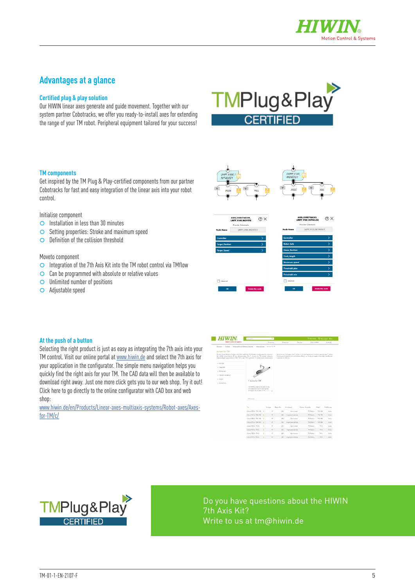

### **Advantages at a glance**

#### **Certified plug & play solution**

Our HIWIN linear axes generate and guide movement. Together with our system partner Cobotracks, we offer you ready-to-install axes for extending the range of your TM robot. Peripheral equipment tailored for your success!



#### **TM components**

Get inspired by the TM Plug & Play-certified components from our partner Cobotracks for fast and easy integration of the linear axis into your robot control.

Initialise component

- | Installation in less than 30 minutes
- **O** Setting properties: Stroke and maximum speed
- O Definition of the collision threshold

#### Moveto component

- $\circ$  Integration of the 7th Axis Kit into the TM robot control via TMflow
- $\circ$  Can be programmed with absolute or relative values
- | Unlimited number of positions
- | Adjustable speed



#### **At the push of a button**

Selecting the right product is just as easy as integrating the 7th axis into your TM control. Visit our online portal at [www.hiwin.de](https://www.hiwin.de) and select the 7th axis for your application in the configurator. The simple menu navigation helps you quickly find the right axis for your TM. The CAD data will then be available to download right away. Just one more click gets you to our web shop. Try it out! Click here to go directly to the online configurator with CAD box and web shop:

[www.hiwin.de/en/Products/Linear-axes-multiaxis-systems/Robot-axes/Axes](https://www.hiwin.de/en/Products/Linear-axes-%26-multiaxis-systems/Robot-axes/Axes-for-TM/c/4981)[for-TM/c/](https://www.hiwin.de/en/Products/Linear-axes-%26-multiaxis-systems/Robot-axes/Axes-for-TM/c/4981)





Do you have questions about the HIWIN 7th Axis Kit? Write to us at tm@hiwin.de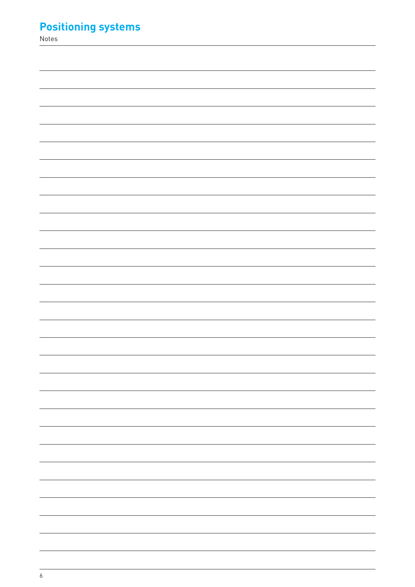## **Positioning systems**

Notes